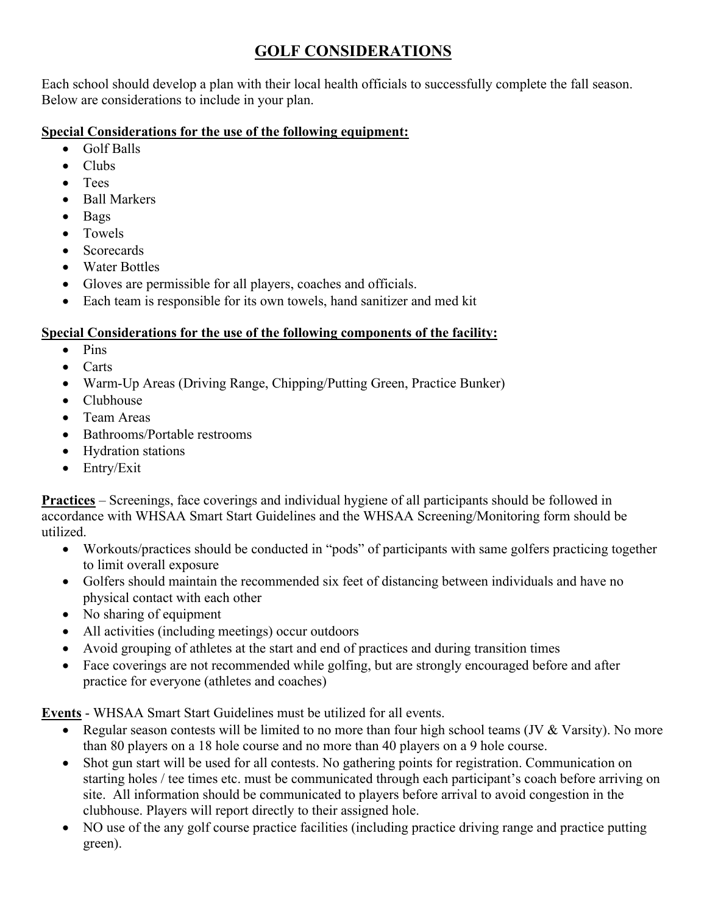# **GOLF CONSIDERATIONS**

Each school should develop a plan with their local health officials to successfully complete the fall season. Below are considerations to include in your plan.

### **Special Considerations for the use of the following equipment:**

- Golf Balls
- Clubs
- Tees
- Ball Markers
- Bags
- Towels
- Scorecards
- Water Bottles
- Gloves are permissible for all players, coaches and officials.
- Each team is responsible for its own towels, hand sanitizer and med kit

## **Special Considerations for the use of the following components of the facility:**

- Pins
- Carts
- Warm-Up Areas (Driving Range, Chipping/Putting Green, Practice Bunker)
- Clubhouse
- Team Areas
- Bathrooms/Portable restrooms
- Hydration stations
- Entry/Exit

**Practices** – Screenings, face coverings and individual hygiene of all participants should be followed in accordance with WHSAA Smart Start Guidelines and the WHSAA Screening/Monitoring form should be utilized.

- Workouts/practices should be conducted in "pods" of participants with same golfers practicing together to limit overall exposure
- Golfers should maintain the recommended six feet of distancing between individuals and have no physical contact with each other
- No sharing of equipment
- All activities (including meetings) occur outdoors
- Avoid grouping of athletes at the start and end of practices and during transition times
- Face coverings are not recommended while golfing, but are strongly encouraged before and after practice for everyone (athletes and coaches)

**Events** - WHSAA Smart Start Guidelines must be utilized for all events.

- Regular season contests will be limited to no more than four high school teams (JV & Varsity). No more than 80 players on a 18 hole course and no more than 40 players on a 9 hole course.
- Shot gun start will be used for all contests. No gathering points for registration. Communication on starting holes / tee times etc. must be communicated through each participant's coach before arriving on site. All information should be communicated to players before arrival to avoid congestion in the clubhouse. Players will report directly to their assigned hole.
- NO use of the any golf course practice facilities (including practice driving range and practice putting green).